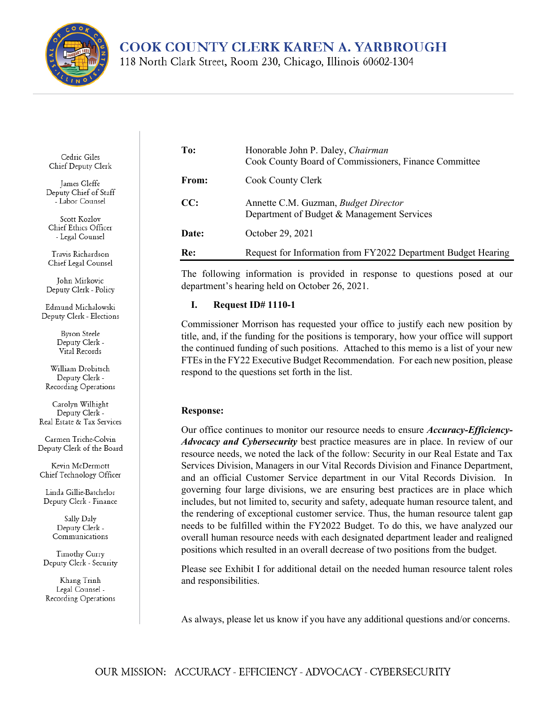

**COOK COUNTY CLERK KAREN A. YARBROUGH** 

118 North Clark Street, Room 230, Chicago, Illinois 60602-1304

Cedric Giles Chief Deputy Clerk

James Gleffe Deputy Chief of Staff - Labor Counsel

Scott Kozlov Chief Ethics Officer - Legal Counsel

Travis Richardson Chief Legal Counsel

John Mirkovic Deputy Clerk - Policy

Edmund Michalowski Deputy Clerk - Elections

> Byron Steele Deputy Clerk -Vital Records

William Drobitsch Deputy Clerk -Recording Operations

Carolyn Wilhight Deputy Clerk -Real Estate & Tax Services

Carmen Triche-Colvin Deputy Clerk of the Board

Kevin McDermott Chief Technology Officer

Linda Gillie-Batchelor Deputy Clerk - Finance

> Sally Daly Deputy Clerk -Communications

Timothy Curry Deputy Clerk - Security

Khang Trinh Legal Counsel -Recording Operations

| To:   | Honorable John P. Daley, Chairman<br>Cook County Board of Commissioners, Finance Committee |  |  |  |  |
|-------|--------------------------------------------------------------------------------------------|--|--|--|--|
| From: | Cook County Clerk                                                                          |  |  |  |  |
| CC:   | Annette C.M. Guzman, Budget Director<br>Department of Budget & Management Services         |  |  |  |  |
| Date: | October 29, 2021                                                                           |  |  |  |  |
| Re:   | Request for Information from FY2022 Department Budget Hearing                              |  |  |  |  |

The following information is provided in response to questions posed at our department's hearing held on October 26, 2021.

## **I. Request ID# 1110-1**

Commissioner Morrison has requested your office to justify each new position by title, and, if the funding for the positions is temporary, how your office will support the continued funding of such positions. Attached to this memo is a list of your new FTEs in the FY22 Executive Budget Recommendation. For each new position, please respond to the questions set forth in the list.

## **Response:**

Our office continues to monitor our resource needs to ensure *Accuracy-Efficiency-Advocacy and Cybersecurity* best practice measures are in place. In review of our resource needs, we noted the lack of the follow: Security in our Real Estate and Tax Services Division, Managers in our Vital Records Division and Finance Department, and an official Customer Service department in our Vital Records Division. In governing four large divisions, we are ensuring best practices are in place which includes, but not limited to, security and safety, adequate human resource talent, and the rendering of exceptional customer service. Thus, the human resource talent gap needs to be fulfilled within the FY2022 Budget. To do this, we have analyzed our overall human resource needs with each designated department leader and realigned positions which resulted in an overall decrease of two positions from the budget.

Please see Exhibit I for additional detail on the needed human resource talent roles and responsibilities.

As always, please let us know if you have any additional questions and/or concerns.